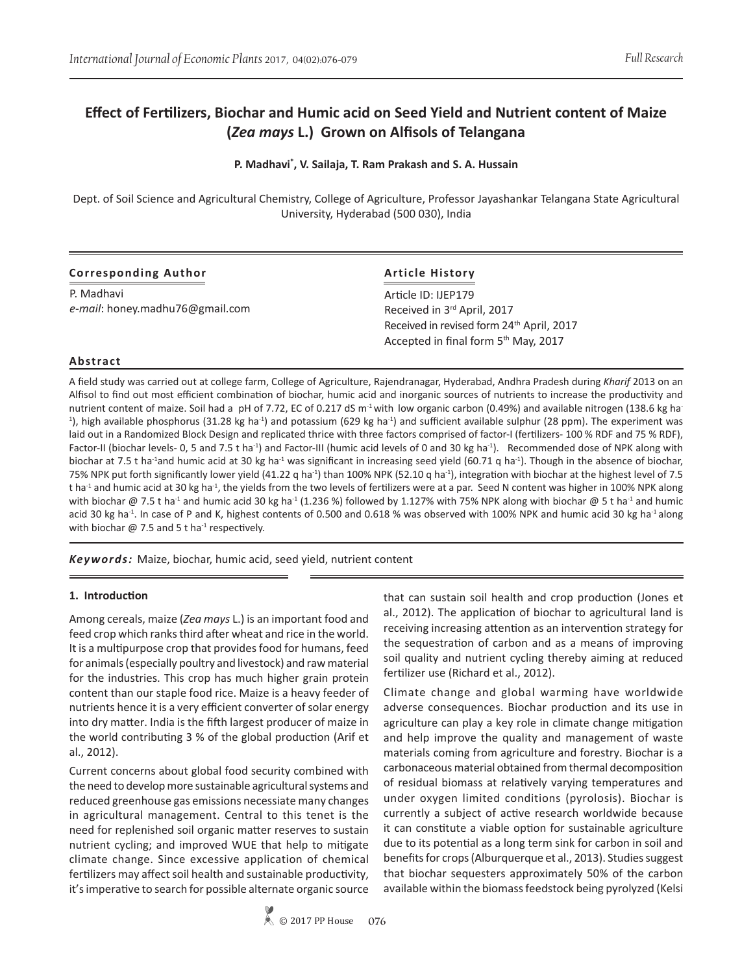# **Effect of Fertilizers, Biochar and Humic acid on Seed Yield and Nutrient content of Maize (***Zea mays* **L.) Grown on Alfisols of Telangana**

**P. Madhavi\* , V. Sailaja, T. Ram Prakash and S. A. Hussain**

Dept. of Soil Science and Agricultural Chemistry, College of Agriculture, Professor Jayashankar Telangana State Agricultural University, Hyderabad (500 030), India

|  |  |  |  |  |  |  |  |  |  | <b>Corresponding Author</b> |  |
|--|--|--|--|--|--|--|--|--|--|-----------------------------|--|
|--|--|--|--|--|--|--|--|--|--|-----------------------------|--|

P. Madhavi *e-mail*: honey.madhu76@gmail.com

## **Article History**

Article ID: IJEP179 Received in 3rd April, 2017 Received in revised form 24<sup>th</sup> April, 2017 Accepted in final form 5<sup>th</sup> May, 2017

## **Abstract**

A field study was carried out at college farm, College of Agriculture, Rajendranagar, Hyderabad, Andhra Pradesh during *Kharif* 2013 on an Alfisol to find out most efficient combination of biochar, humic acid and inorganic sources of nutrients to increase the productivity and nutrient content of maize. Soil had a pH of 7.72, EC of 0.217 dS m<sup>-1</sup> with low organic carbon (0.49%) and available nitrogen (138.6 kg ha-<sup>1</sup>), high available phosphorus (31.28 kg ha<sup>-1</sup>) and potassium (629 kg ha<sup>-1</sup>) and sufficient available sulphur (28 ppm). The experiment was laid out in a Randomized Block Design and replicated thrice with three factors comprised of factor-I (fertilizers- 100 % RDF and 75 % RDF), Factor-II (biochar levels- 0, 5 and 7.5 t ha<sup>-1</sup>) and Factor-III (humic acid levels of 0 and 30 kg ha<sup>-1</sup>). Recommended dose of NPK along with biochar at 7.5 t ha<sup>-1</sup>and humic acid at 30 kg ha<sup>-1</sup> was significant in increasing seed yield (60.71 q ha<sup>-1</sup>). Though in the absence of biochar, 75% NPK put forth significantly lower yield (41.22 q ha<sup>-1</sup>) than 100% NPK (52.10 q ha<sup>-1</sup>), integration with biochar at the highest level of 7.5 t ha<sup>-1</sup> and humic acid at 30 kg ha<sup>-1</sup>, the yields from the two levels of fertilizers were at a par. Seed N content was higher in 100% NPK along with biochar @ 7.5 t ha<sup>-1</sup> and humic acid 30 kg ha<sup>-1</sup> (1.236 %) followed by 1.127% with 75% NPK along with biochar @ 5 t ha<sup>-1</sup> and humic acid 30 kg ha<sup>-1</sup>. In case of P and K, highest contents of 0.500 and 0.618 % was observed with 100% NPK and humic acid 30 kg ha<sup>-1</sup> along with biochar  $\omega$  7.5 and 5 t ha<sup>-1</sup> respectively.

*Keywords:* Maize, biochar, humic acid, seed yield, nutrient content

#### **1. Introduction**

Among cereals, maize (*Zea mays* L.) is an important food and feed crop which ranks third after wheat and rice in the world. It is a multipurpose crop that provides food for humans, feed for animals (especially poultry and livestock) and raw material for the industries. This crop has much higher grain protein content than our staple food rice. Maize is a heavy feeder of nutrients hence it is a very efficient converter of solar energy into dry matter. India is the fifth largest producer of maize in the world contributing 3 % of the global production (Arif et al., 2012).

Current concerns about global food security combined with the need to develop more sustainable agricultural systems and reduced greenhouse gas emissions necessiate many changes in agricultural management. Central to this tenet is the need for replenished soil organic matter reserves to sustain nutrient cycling; and improved WUE that help to mitigate climate change. Since excessive application of chemical fertilizers may affect soil health and sustainable productivity, it's imperative to search for possible alternate organic source

that can sustain soil health and crop production (Jones et al., 2012). The application of biochar to agricultural land is receiving increasing attention as an intervention strategy for the sequestration of carbon and as a means of improving soil quality and nutrient cycling thereby aiming at reduced fertilizer use (Richard et al., 2012).

Climate change and global warming have worldwide adverse consequences. Biochar production and its use in agriculture can play a key role in climate change mitigation and help improve the quality and management of waste materials coming from agriculture and forestry. Biochar is a carbonaceous material obtained from thermal decomposition of residual biomass at relatively varying temperatures and under oxygen limited conditions (pyrolosis). Biochar is currently a subject of active research worldwide because it can constitute a viable option for sustainable agriculture due to its potential as a long term sink for carbon in soil and benefits for crops (Alburquerque et al., 2013). Studies suggest that biochar sequesters approximately 50% of the carbon available within the biomass feedstock being pyrolyzed (Kelsi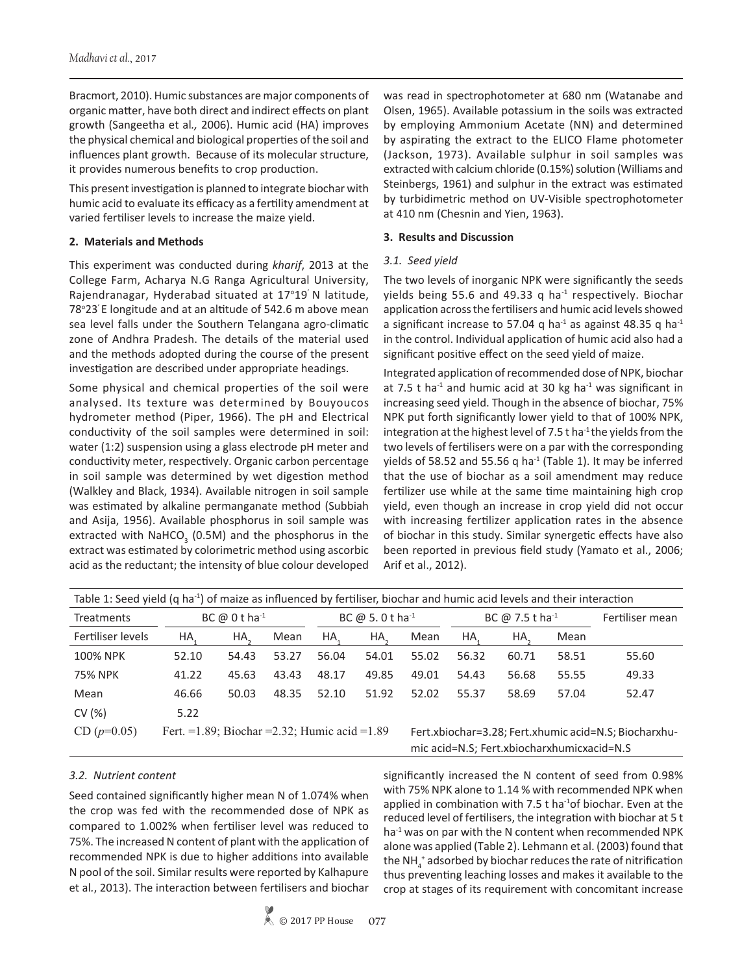Bracmort, 2010). Humic substances are major components of organic matter, have both direct and indirect effects on plant growth (Sangeetha et al*.,* 2006). Humic acid (HA) improves the physical chemical and biological properties of the soil and influences plant growth. Because of its molecular structure, it provides numerous benefits to crop production.

This present investigation is planned to integrate biochar with humic acid to evaluate its efficacy as a fertility amendment at varied fertiliser levels to increase the maize yield.

## **2. Materials and Methods**

This experiment was conducted during *kharif*, 2013 at the College Farm, Acharya N.G Ranga Agricultural University, Rajendranagar, Hyderabad situated at 17°19<sup>'</sup> N latitude, 78°23' E longitude and at an altitude of 542.6 m above mean sea level falls under the Southern Telangana agro-climatic zone of Andhra Pradesh. The details of the material used and the methods adopted during the course of the present investigation are described under appropriate headings.

Some physical and chemical properties of the soil were analysed. Its texture was determined by Bouyoucos hydrometer method (Piper, 1966). The pH and Electrical conductivity of the soil samples were determined in soil: water (1:2) suspension using a glass electrode pH meter and conductivity meter, respectively. Organic carbon percentage in soil sample was determined by wet digestion method (Walkley and Black, 1934). Available nitrogen in soil sample was estimated by alkaline permanganate method (Subbiah and Asija, 1956). Available phosphorus in soil sample was extracted with NaHCO<sub>3</sub> (0.5M) and the phosphorus in the extract was estimated by colorimetric method using ascorbic acid as the reductant; the intensity of blue colour developed

was read in spectrophotometer at 680 nm (Watanabe and Olsen, 1965). Available potassium in the soils was extracted by employing Ammonium Acetate (NN) and determined by aspirating the extract to the ELICO Flame photometer (Jackson, 1973). Available sulphur in soil samples was extracted with calcium chloride (0.15%) solution (Williams and Steinbergs, 1961) and sulphur in the extract was estimated by turbidimetric method on UV-Visible spectrophotometer at 410 nm (Chesnin and Yien, 1963).

#### **3. Results and Discussion**

## *3.1. Seed yield*

The two levels of inorganic NPK were significantly the seeds yields being 55.6 and 49.33 q ha<sup>-1</sup> respectively. Biochar application across the fertilisers and humic acid levels showed a significant increase to 57.04 q ha<sup>-1</sup> as against 48.35 q ha<sup>-1</sup> in the control. Individual application of humic acid also had a significant positive effect on the seed yield of maize.

Integrated application of recommended dose of NPK, biochar at 7.5 t ha<sup>-1</sup> and humic acid at 30 kg ha<sup>-1</sup> was significant in increasing seed yield. Though in the absence of biochar, 75% NPK put forth significantly lower yield to that of 100% NPK, integration at the highest level of 7.5 t ha $4$  the yields from the two levels of fertilisers were on a par with the corresponding yields of 58.52 and 55.56 q ha $^{-1}$  (Table 1). It may be inferred that the use of biochar as a soil amendment may reduce fertilizer use while at the same time maintaining high crop yield, even though an increase in crop yield did not occur with increasing fertilizer application rates in the absence of biochar in this study. Similar synergetic effects have also been reported in previous field study (Yamato et al., 2006; Arif et al., 2012).

| Table 1: Seed yield (q ha <sup>-1</sup> ) of maize as influenced by fertiliser, biochar and humic acid levels and their interaction |                                                 |       |       |                                            |       |                                                       |       |                             |                 |       |  |  |  |
|-------------------------------------------------------------------------------------------------------------------------------------|-------------------------------------------------|-------|-------|--------------------------------------------|-------|-------------------------------------------------------|-------|-----------------------------|-----------------|-------|--|--|--|
| <b>Treatments</b>                                                                                                                   | BC $@0$ tha <sup>-1</sup>                       |       |       | BC @ 5.0 t ha <sup>-1</sup>                |       |                                                       |       | BC @ 7.5 t ha <sup>-1</sup> | Fertiliser mean |       |  |  |  |
| Fertiliser levels                                                                                                                   | HA,                                             | HA,   | Mean  | HA.                                        | HA.   | Mean                                                  | HA.   | HA.                         | Mean            |       |  |  |  |
| 100% NPK                                                                                                                            | 52.10                                           | 54.43 | 53.27 | 56.04                                      | 54.01 | 55.02                                                 | 56.32 | 60.71                       | 58.51           | 55.60 |  |  |  |
| <b>75% NPK</b>                                                                                                                      | 41.22                                           | 45.63 | 43.43 | 48.17                                      | 49.85 | 49.01                                                 | 54.43 | 56.68                       | 55.55           | 49.33 |  |  |  |
| Mean                                                                                                                                | 46.66                                           | 50.03 | 48.35 | 52.10                                      | 51.92 | 52.02                                                 | 55.37 | 58.69                       | 57.04           | 52.47 |  |  |  |
| CV(%)                                                                                                                               | 5.22                                            |       |       |                                            |       |                                                       |       |                             |                 |       |  |  |  |
| $CD (p=0.05)$                                                                                                                       | Fert. = 1.89; Biochar = 2.32; Humic acid = 1.89 |       |       | mic acid=N.S; Fert.xbiocharxhumicxacid=N.S |       | Fert.xbiochar=3.28; Fert.xhumic acid=N.S; Biocharxhu- |       |                             |                 |       |  |  |  |

## *3.2. Nutrient content*

Seed contained significantly higher mean N of 1.074% when the crop was fed with the recommended dose of NPK as compared to 1.002% when fertiliser level was reduced to 75%. The increased N content of plant with the application of recommended NPK is due to higher additions into available N pool of the soil. Similar results were reported by Kalhapure et al*.*, 2013). The interaction between fertilisers and biochar

significantly increased the N content of seed from 0.98% with 75% NPK alone to 1.14 % with recommended NPK when applied in combination with 7.5  $t$  ha<sup>-1</sup>of biochar. Even at the reduced level of fertilisers, the integration with biochar at 5 t ha<sup>-1</sup> was on par with the N content when recommended NPK alone was applied (Table 2). Lehmann et al. (2003) found that the NH $_4^+$  adsorbed by biochar reduces the rate of nitrification thus preventing leaching losses and makes it available to the crop at stages of its requirement with concomitant increase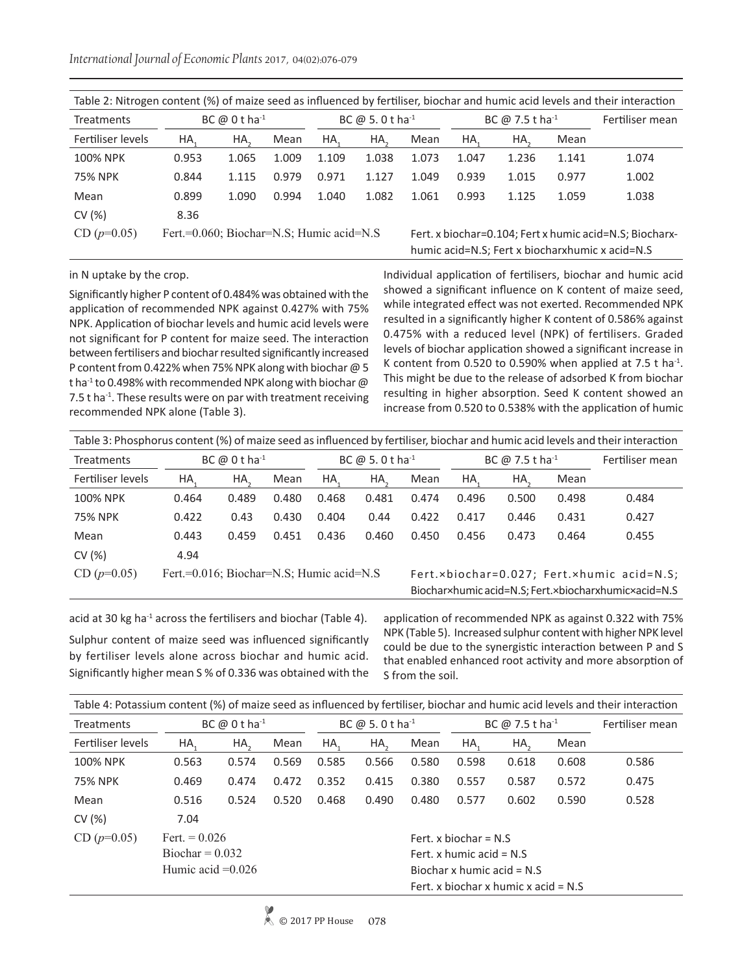*International Journal of Economic Plants* 2017, 04(02):076-079

|                                                           | Table 2: Nitrogen content (%) of maize seed as influenced by fertiliser, biochar and humic acid levels and their interaction |                           |       |       |                             |       |       |                             |                 |                                                                                                            |  |  |  |  |
|-----------------------------------------------------------|------------------------------------------------------------------------------------------------------------------------------|---------------------------|-------|-------|-----------------------------|-------|-------|-----------------------------|-----------------|------------------------------------------------------------------------------------------------------------|--|--|--|--|
| <b>Treatments</b>                                         |                                                                                                                              | BC $@0$ tha <sup>-1</sup> |       |       | BC @ 5.0 t ha <sup>-1</sup> |       |       | BC @ 7.5 t ha <sup>-1</sup> | Fertiliser mean |                                                                                                            |  |  |  |  |
| Fertiliser levels                                         | HA.                                                                                                                          | HA.                       | Mean  | HA.   | HA.                         | Mean  | HA.   | HA.                         | Mean            |                                                                                                            |  |  |  |  |
| <b>100% NPK</b>                                           | 0.953                                                                                                                        | 1.065                     | 1.009 | 1.109 | 1.038                       | 1.073 | 1.047 | 1.236                       | 1.141           | 1.074                                                                                                      |  |  |  |  |
| <b>75% NPK</b>                                            | 0.844                                                                                                                        | 1.115                     | 0.979 | 0.971 | 1.127                       | 1.049 | 0.939 | 1.015                       | 0.977           | 1.002                                                                                                      |  |  |  |  |
| Mean                                                      | 0.899                                                                                                                        | 1.090                     | 0.994 | 1.040 | 1.082                       | 1.061 | 0.993 | 1.125                       | 1.059           | 1.038                                                                                                      |  |  |  |  |
| CV(%)                                                     | 8.36                                                                                                                         |                           |       |       |                             |       |       |                             |                 |                                                                                                            |  |  |  |  |
| $CD (p=0.05)$<br>Fert.=0.060; Biochar=N.S; Humic acid=N.S |                                                                                                                              |                           |       |       |                             |       |       |                             |                 | Fert. x biochar=0.104; Fert x humic acid=N.S; Biocharx-<br>humic acid=N.S; Fert x biocharxhumic x acid=N.S |  |  |  |  |

#### in N uptake by the crop.

Significantly higher P content of 0.484% was obtained with the application of recommended NPK against 0.427% with 75% NPK. Application of biochar levels and humic acid levels were not significant for P content for maize seed. The interaction between fertilisers and biochar resulted significantly increased P content from 0.422% when 75% NPK along with biochar @ 5 t ha<sup>-1</sup> to 0.498% with recommended NPK along with biochar  $\omega$ 7.5  $t$  ha<sup>-1</sup>. These results were on par with treatment receiving recommended NPK alone (Table 3).

Individual application of fertilisers, biochar and humic acid showed a significant influence on K content of maize seed, while integrated effect was not exerted. Recommended NPK resulted in a significantly higher K content of 0.586% against 0.475% with a reduced level (NPK) of fertilisers. Graded levels of biochar application showed a significant increase in K content from 0.520 to 0.590% when applied at 7.5 t ha $^{-1}$ . This might be due to the release of adsorbed K from biochar resulting in higher absorption. Seed K content showed an increase from 0.520 to 0.538% with the application of humic

| Table 3: Phosphorus content (%) of maize seed as influenced by fertiliser, biochar and humic acid levels and their interaction |                                          |       |       |                             |       |       |                                                                                                    |                             |                 |       |  |  |  |
|--------------------------------------------------------------------------------------------------------------------------------|------------------------------------------|-------|-------|-----------------------------|-------|-------|----------------------------------------------------------------------------------------------------|-----------------------------|-----------------|-------|--|--|--|
| <b>Treatments</b>                                                                                                              | BC $\omega$ 0 t ha <sup>-1</sup>         |       |       | BC @ 5.0 t ha <sup>-1</sup> |       |       |                                                                                                    | BC @ 7.5 t ha <sup>-1</sup> | Fertiliser mean |       |  |  |  |
| Fertiliser levels                                                                                                              | HA,                                      | HA.   | Mean  | HA.                         | HA.   | Mean  | HA.                                                                                                | HA.                         | Mean            |       |  |  |  |
| <b>100% NPK</b>                                                                                                                | 0.464                                    | 0.489 | 0.480 | 0.468                       | 0.481 | 0.474 | 0.496                                                                                              | 0.500                       | 0.498           | 0.484 |  |  |  |
| <b>75% NPK</b>                                                                                                                 | 0.422                                    | 0.43  | 0.430 | 0.404                       | 0.44  | 0.422 | 0.417                                                                                              | 0.446                       | 0.431           | 0.427 |  |  |  |
| Mean                                                                                                                           | 0.443                                    | 0.459 | 0.451 | 0.436                       | 0.460 | 0.450 | 0.456                                                                                              | 0.473                       | 0.464           | 0.455 |  |  |  |
| CV(%)                                                                                                                          | 4.94                                     |       |       |                             |       |       |                                                                                                    |                             |                 |       |  |  |  |
| $CD (p=0.05)$                                                                                                                  | Fert.=0.016; Biochar=N.S; Humic acid=N.S |       |       |                             |       |       | Fert.×biochar=0.027; Fert.×humic acid=N.S;<br>Biochar×humic acid=N.S; Fert.×biocharxhumic×acid=N.S |                             |                 |       |  |  |  |

acid at 30 kg ha<sup>-1</sup> across the fertilisers and biochar (Table 4). Sulphur content of maize seed was influenced significantly by fertiliser levels alone across biochar and humic acid. Significantly higher mean S % of 0.336 was obtained with the application of recommended NPK as against 0.322 with 75% NPK (Table 5). Increased sulphur content with higher NPK level could be due to the synergistic interaction between P and S that enabled enhanced root activity and more absorption of

| Table 4: Potassium content (%) of maize seed as influenced by fertiliser, biochar and humic acid levels and their interaction |                           |                 |       |                             |                            |       |                              |                                        |                 |       |  |  |  |
|-------------------------------------------------------------------------------------------------------------------------------|---------------------------|-----------------|-------|-----------------------------|----------------------------|-------|------------------------------|----------------------------------------|-----------------|-------|--|--|--|
| <b>Treatments</b>                                                                                                             | BC $@0$ tha <sup>-1</sup> |                 |       | BC @ 5.0 t ha <sup>-1</sup> |                            |       |                              | BC $\omega$ 7.5 t ha <sup>-1</sup>     | Fertiliser mean |       |  |  |  |
| Fertiliser levels                                                                                                             | HA.                       | HA <sub>a</sub> | Mean  | HA.                         | HA <sub>2</sub>            | Mean  | HA.                          | HA.                                    | Mean            |       |  |  |  |
| 100% NPK                                                                                                                      | 0.563                     | 0.574           | 0.569 | 0.585                       | 0.566                      | 0.580 | 0.598                        | 0.618                                  | 0.608           | 0.586 |  |  |  |
| 75% NPK                                                                                                                       | 0.469                     | 0.474           | 0.472 | 0.352                       | 0.415                      | 0.380 | 0.557                        | 0.587                                  | 0.572           | 0.475 |  |  |  |
| Mean                                                                                                                          | 0.516                     | 0.524           | 0.520 | 0.468                       | 0.490                      | 0.480 | 0.577                        | 0.602                                  | 0.590           | 0.528 |  |  |  |
| CV(%)                                                                                                                         | 7.04                      |                 |       |                             |                            |       |                              |                                        |                 |       |  |  |  |
| $CD (p=0.05)$                                                                                                                 | Fert. $= 0.026$           |                 |       |                             |                            |       | Fert, x biochar = $N.S$      |                                        |                 |       |  |  |  |
|                                                                                                                               | $Biochar = 0.032$         |                 |       |                             | Fert, x humic acid = $N.S$ |       |                              |                                        |                 |       |  |  |  |
|                                                                                                                               | Humic acid $=0.026$       |                 |       |                             |                            |       | Biochar x humic acid = $N.S$ |                                        |                 |       |  |  |  |
|                                                                                                                               |                           |                 |       |                             |                            |       |                              | Fert, x biochar x humic x acid = $N.S$ |                 |       |  |  |  |

S from the soil.